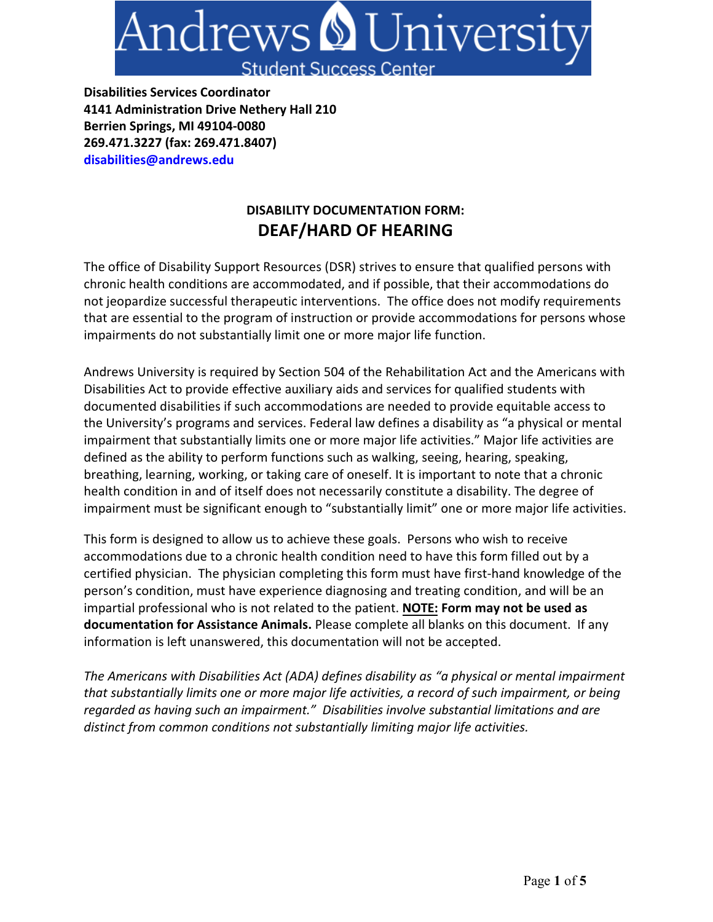

**Disabilities Services Coordinator 4141 Administration Drive Nethery Hall 210 Berrien Springs, MI 49104-0080 269.471.3227 (fax: 269.471.8407) disabilities@andrews.edu** 

## **DISABILITY DOCUMENTATION FORM: DEAF/HARD OF HEARING**

The office of Disability Support Resources (DSR) strives to ensure that qualified persons with chronic health conditions are accommodated, and if possible, that their accommodations do not jeopardize successful therapeutic interventions. The office does not modify requirements that are essential to the program of instruction or provide accommodations for persons whose impairments do not substantially limit one or more major life function.

Andrews University is required by Section 504 of the Rehabilitation Act and the Americans with Disabilities Act to provide effective auxiliary aids and services for qualified students with documented disabilities if such accommodations are needed to provide equitable access to the University's programs and services. Federal law defines a disability as "a physical or mental impairment that substantially limits one or more major life activities." Major life activities are defined as the ability to perform functions such as walking, seeing, hearing, speaking, breathing, learning, working, or taking care of oneself. It is important to note that a chronic health condition in and of itself does not necessarily constitute a disability. The degree of impairment must be significant enough to "substantially limit" one or more major life activities.

This form is designed to allow us to achieve these goals. Persons who wish to receive accommodations due to a chronic health condition need to have this form filled out by a certified physician. The physician completing this form must have first-hand knowledge of the person's condition, must have experience diagnosing and treating condition, and will be an impartial professional who is not related to the patient. **NOTE: Form may not be used as documentation for Assistance Animals.** Please complete all blanks on this document. If any information is left unanswered, this documentation will not be accepted.

*The Americans with Disabilities Act (ADA) defines disability as "a physical or mental impairment that substantially limits one or more major life activities, a record of such impairment, or being regarded as having such an impairment." Disabilities involve substantial limitations and are distinct from common conditions not substantially limiting major life activities.*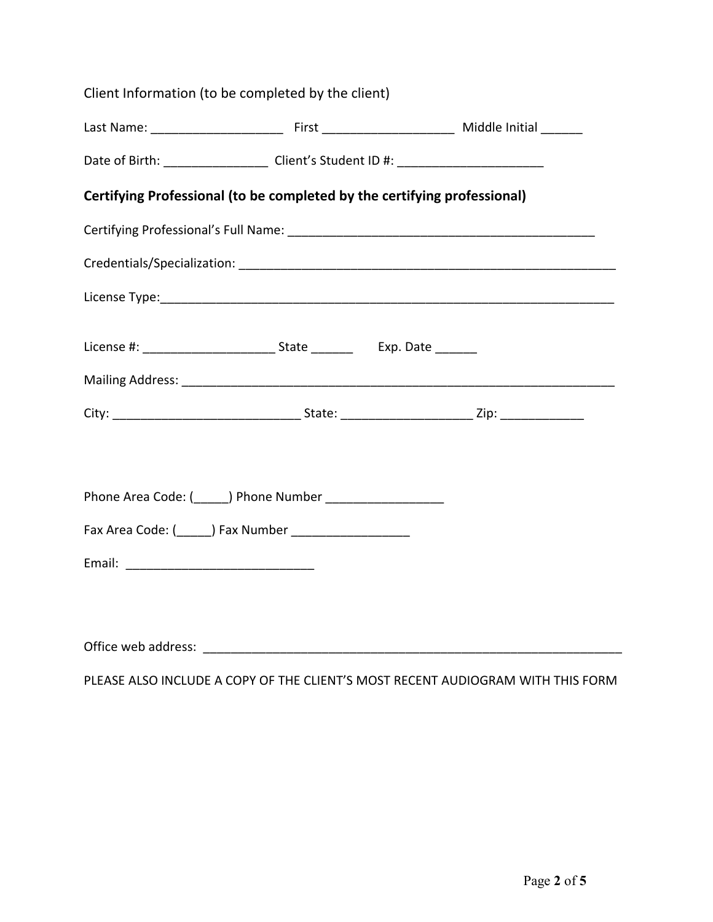|                     | Client Information (to be completed by the client)                       |  |
|---------------------|--------------------------------------------------------------------------|--|
|                     |                                                                          |  |
|                     |                                                                          |  |
|                     | Certifying Professional (to be completed by the certifying professional) |  |
|                     |                                                                          |  |
|                     |                                                                          |  |
|                     |                                                                          |  |
|                     |                                                                          |  |
|                     |                                                                          |  |
|                     |                                                                          |  |
|                     |                                                                          |  |
|                     | Phone Area Code: (______) Phone Number ____________________              |  |
|                     |                                                                          |  |
|                     |                                                                          |  |
|                     |                                                                          |  |
| Office web address: |                                                                          |  |
|                     |                                                                          |  |

PLEASE ALSO INCLUDE A COPY OF THE CLIENT'S MOST RECENT AUDIOGRAM WITH THIS FORM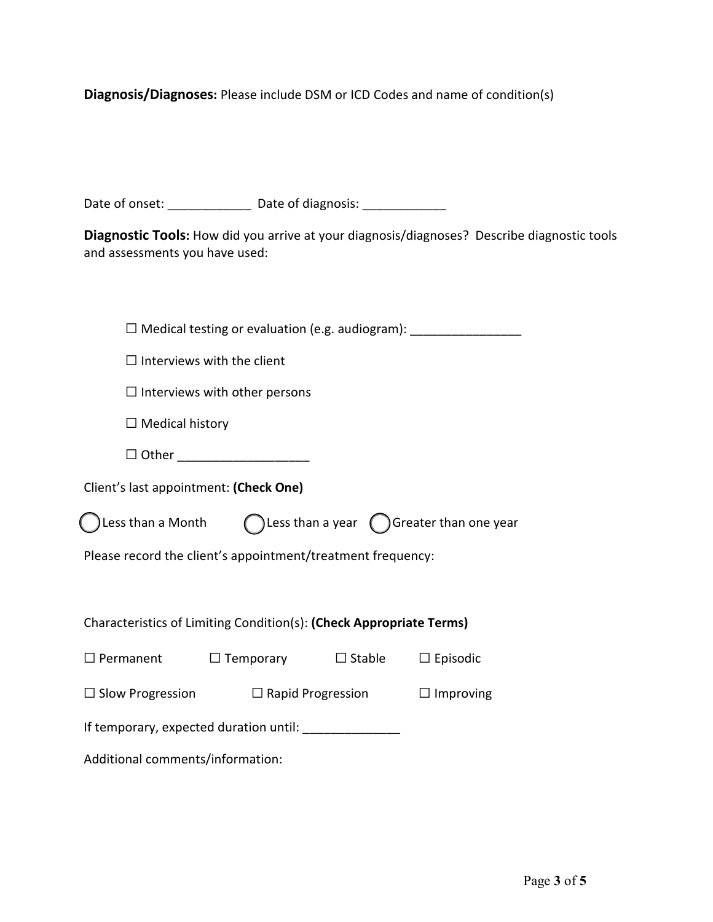**Diagnosis/Diagnoses:** Please include DSM or ICD Codes and name of condition(s)

Date of onset: \_\_\_\_\_\_\_\_\_\_\_\_\_\_\_\_ Date of diagnosis: \_\_\_\_\_\_\_\_\_\_\_\_\_\_\_\_\_\_\_\_\_\_\_\_\_\_\_\_\_\_

**Diagnostic Tools:** How did you arrive at your diagnosis/diagnoses? Describe diagnostic tools and assessments you have used:

| $\square$ Medical testing or evaluation (e.g. audiogram):                    |                                                |                          |                  |  |  |
|------------------------------------------------------------------------------|------------------------------------------------|--------------------------|------------------|--|--|
| $\Box$ Interviews with the client                                            |                                                |                          |                  |  |  |
| $\Box$ Interviews with other persons                                         |                                                |                          |                  |  |  |
| $\Box$ Medical history                                                       |                                                |                          |                  |  |  |
| □ Other _______________________                                              |                                                |                          |                  |  |  |
| Client's last appointment: (Check One)                                       |                                                |                          |                  |  |  |
| Less than a Month $\bigcap$ Less than a year $\bigcap$ Greater than one year |                                                |                          |                  |  |  |
| Please record the client's appointment/treatment frequency:                  |                                                |                          |                  |  |  |
|                                                                              |                                                |                          |                  |  |  |
| Characteristics of Limiting Condition(s): (Check Appropriate Terms)          |                                                |                          |                  |  |  |
| $\square$ Permanent                                                          | $\Box$ Temporary $\Box$ Stable $\Box$ Episodic |                          |                  |  |  |
| $\Box$ Slow Progression                                                      |                                                | $\Box$ Rapid Progression | $\Box$ Improving |  |  |
| If temporary, expected duration until: ________________                      |                                                |                          |                  |  |  |
| Additional comments/information:                                             |                                                |                          |                  |  |  |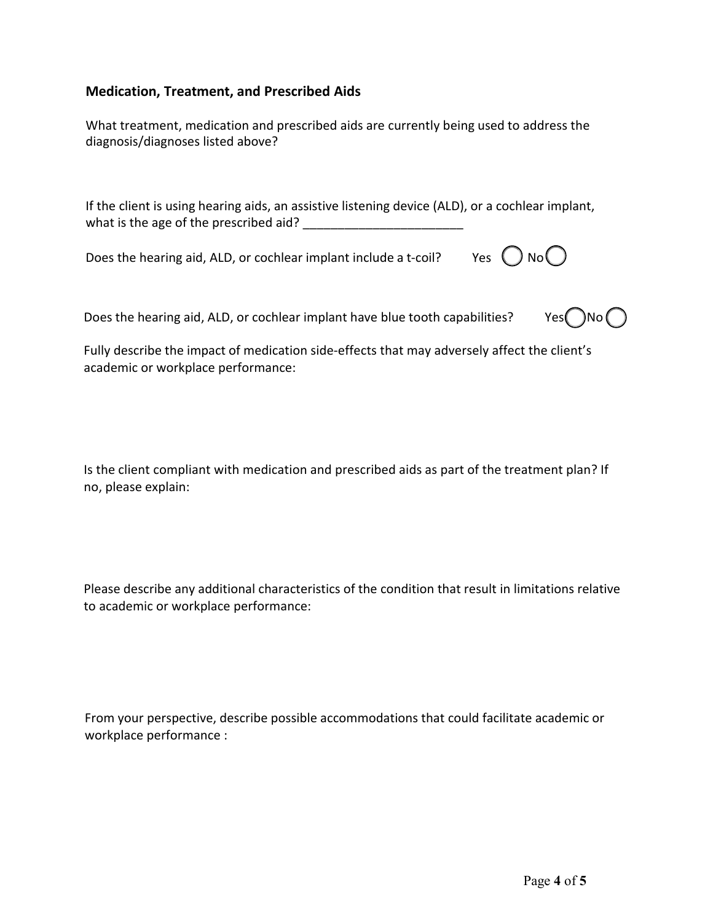## **Medication, Treatment, and Prescribed Aids**

| What treatment, medication and prescribed aids are currently being used to address the |
|----------------------------------------------------------------------------------------|
| diagnosis/diagnoses listed above?                                                      |

If the client is using hearing aids, an assistive listening device (ALD), or a cochlear implant, what is the age of the prescribed aid?

Does the hearing aid, ALD, or cochlear implant include a t-coil? Yes  $\bigcirc$  No $\bigcirc$ 

Does the hearing aid, ALD, or cochlear implant have blue tooth capabilities? Yes  $\bigcap$ No  $\bigcap$ 



Fully describe the impact of medication side-effects that may adversely affect the client's academic or workplace performance:

Is the client compliant with medication and prescribed aids as part of the treatment plan? If no, please explain:

Please describe any additional characteristics of the condition that result in limitations relative to academic or workplace performance:

From your perspective, describe possible accommodations that could facilitate academic or workplace performance :